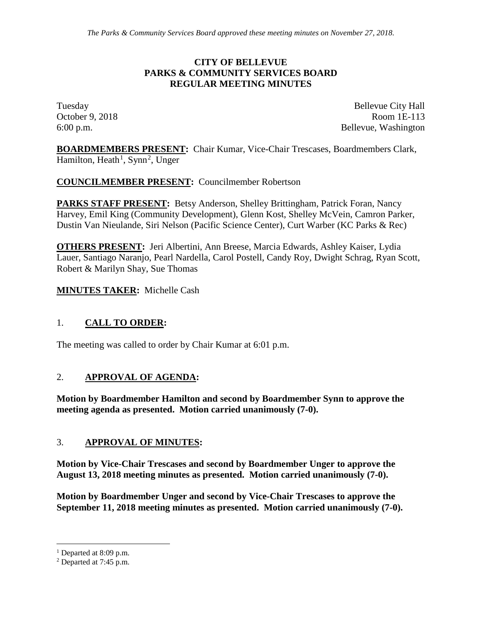### **CITY OF BELLEVUE PARKS & COMMUNITY SERVICES BOARD REGULAR MEETING MINUTES**

Tuesday Bellevue City Hall October 9, 2018 Room 1E-113 6:00 p.m. Bellevue, Washington

**BOARDMEMBERS PRESENT:** Chair Kumar, Vice-Chair Trescases, Boardmembers Clark, Hamilton, Heath<sup>[1](#page-0-0)</sup>, Synn<sup>[2](#page-0-1)</sup>, Unger

## **COUNCILMEMBER PRESENT:** Councilmember Robertson

**PARKS STAFF PRESENT:** Betsy Anderson, Shelley Brittingham, Patrick Foran, Nancy Harvey, Emil King (Community Development), Glenn Kost, Shelley McVein, Camron Parker, Dustin Van Nieulande, Siri Nelson (Pacific Science Center), Curt Warber (KC Parks & Rec)

**OTHERS PRESENT:** Jeri Albertini, Ann Breese, Marcia Edwards, Ashley Kaiser, Lydia Lauer, Santiago Naranjo, Pearl Nardella, Carol Postell, Candy Roy, Dwight Schrag, Ryan Scott, Robert & Marilyn Shay, Sue Thomas

**MINUTES TAKER:** Michelle Cash

## 1. **CALL TO ORDER:**

The meeting was called to order by Chair Kumar at 6:01 p.m.

#### 2. **APPROVAL OF AGENDA:**

**Motion by Boardmember Hamilton and second by Boardmember Synn to approve the meeting agenda as presented. Motion carried unanimously (7-0).**

#### 3. **APPROVAL OF MINUTES:**

**Motion by Vice-Chair Trescases and second by Boardmember Unger to approve the August 13, 2018 meeting minutes as presented. Motion carried unanimously (7-0).**

**Motion by Boardmember Unger and second by Vice-Chair Trescases to approve the September 11, 2018 meeting minutes as presented. Motion carried unanimously (7-0).**

<span id="page-0-0"></span> $<sup>1</sup>$  Departed at 8:09 p.m.</sup>

<span id="page-0-1"></span><sup>2</sup> Departed at 7:45 p.m.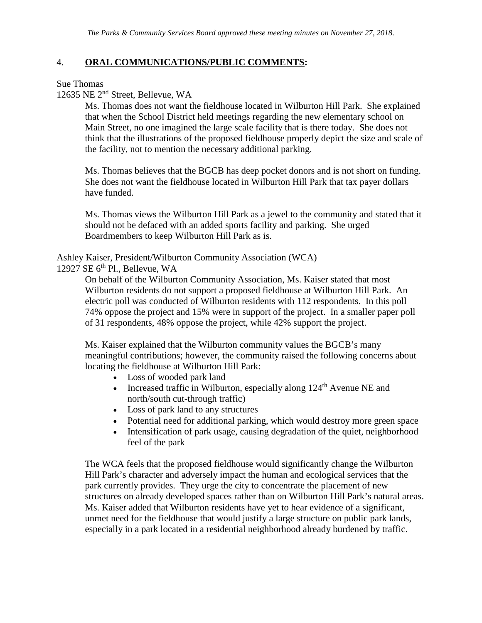## 4. **ORAL COMMUNICATIONS/PUBLIC COMMENTS:**

Sue Thomas

12635 NE 2nd Street, Bellevue, WA

Ms. Thomas does not want the fieldhouse located in Wilburton Hill Park. She explained that when the School District held meetings regarding the new elementary school on Main Street, no one imagined the large scale facility that is there today. She does not think that the illustrations of the proposed fieldhouse properly depict the size and scale of the facility, not to mention the necessary additional parking.

Ms. Thomas believes that the BGCB has deep pocket donors and is not short on funding. She does not want the fieldhouse located in Wilburton Hill Park that tax payer dollars have funded.

Ms. Thomas views the Wilburton Hill Park as a jewel to the community and stated that it should not be defaced with an added sports facility and parking. She urged Boardmembers to keep Wilburton Hill Park as is.

Ashley Kaiser, President/Wilburton Community Association (WCA)

12927 SE  $6<sup>th</sup>$  Pl., Bellevue, WA

On behalf of the Wilburton Community Association, Ms. Kaiser stated that most Wilburton residents do not support a proposed fieldhouse at Wilburton Hill Park. An electric poll was conducted of Wilburton residents with 112 respondents. In this poll 74% oppose the project and 15% were in support of the project. In a smaller paper poll of 31 respondents, 48% oppose the project, while 42% support the project.

Ms. Kaiser explained that the Wilburton community values the BGCB's many meaningful contributions; however, the community raised the following concerns about locating the fieldhouse at Wilburton Hill Park:

- Loss of wooded park land
- Increased traffic in Wilburton, especially along  $124<sup>th</sup>$  Avenue NE and north/south cut-through traffic)
- Loss of park land to any structures
- Potential need for additional parking, which would destroy more green space
- Intensification of park usage, causing degradation of the quiet, neighborhood feel of the park

The WCA feels that the proposed fieldhouse would significantly change the Wilburton Hill Park's character and adversely impact the human and ecological services that the park currently provides. They urge the city to concentrate the placement of new structures on already developed spaces rather than on Wilburton Hill Park's natural areas. Ms. Kaiser added that Wilburton residents have yet to hear evidence of a significant, unmet need for the fieldhouse that would justify a large structure on public park lands, especially in a park located in a residential neighborhood already burdened by traffic.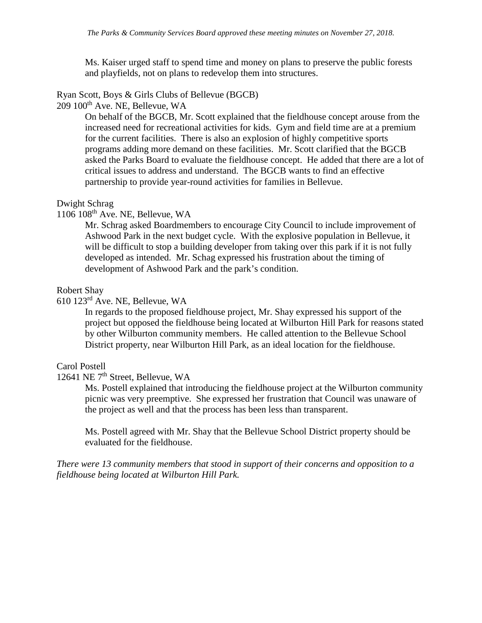Ms. Kaiser urged staff to spend time and money on plans to preserve the public forests and playfields, not on plans to redevelop them into structures.

# Ryan Scott, Boys & Girls Clubs of Bellevue (BGCB)

209 100th Ave. NE, Bellevue, WA

On behalf of the BGCB, Mr. Scott explained that the fieldhouse concept arouse from the increased need for recreational activities for kids. Gym and field time are at a premium for the current facilities. There is also an explosion of highly competitive sports programs adding more demand on these facilities. Mr. Scott clarified that the BGCB asked the Parks Board to evaluate the fieldhouse concept. He added that there are a lot of critical issues to address and understand. The BGCB wants to find an effective partnership to provide year-round activities for families in Bellevue.

#### Dwight Schrag

1106 108th Ave. NE, Bellevue, WA

Mr. Schrag asked Boardmembers to encourage City Council to include improvement of Ashwood Park in the next budget cycle. With the explosive population in Bellevue, it will be difficult to stop a building developer from taking over this park if it is not fully developed as intended. Mr. Schag expressed his frustration about the timing of development of Ashwood Park and the park's condition.

#### Robert Shay

610 123rd Ave. NE, Bellevue, WA

In regards to the proposed fieldhouse project, Mr. Shay expressed his support of the project but opposed the fieldhouse being located at Wilburton Hill Park for reasons stated by other Wilburton community members. He called attention to the Bellevue School District property, near Wilburton Hill Park, as an ideal location for the fieldhouse.

#### Carol Postell

12641 NE 7th Street, Bellevue, WA

Ms. Postell explained that introducing the fieldhouse project at the Wilburton community picnic was very preemptive. She expressed her frustration that Council was unaware of the project as well and that the process has been less than transparent.

Ms. Postell agreed with Mr. Shay that the Bellevue School District property should be evaluated for the fieldhouse.

*There were 13 community members that stood in support of their concerns and opposition to a fieldhouse being located at Wilburton Hill Park.*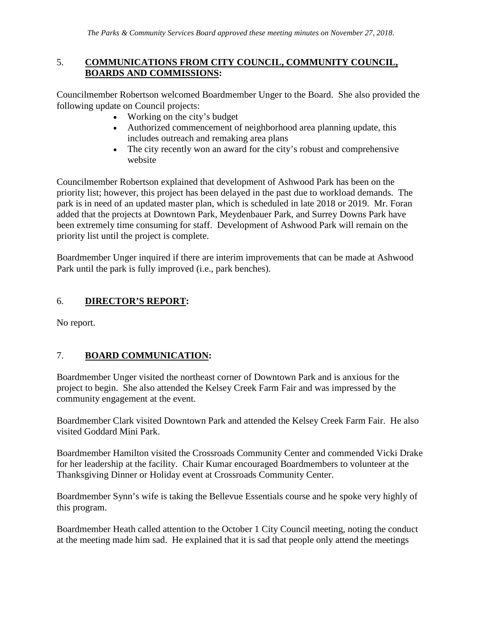## 5. **COMMUNICATIONS FROM CITY COUNCIL, COMMUNITY COUNCIL, BOARDS AND COMMISSIONS:**

Councilmember Robertson welcomed Boardmember Unger to the Board. She also provided the following update on Council projects:

- Working on the city's budget
- Authorized commencement of neighborhood area planning update, this includes outreach and remaking area plans
- The city recently won an award for the city's robust and comprehensive website

Councilmember Robertson explained that development of Ashwood Park has been on the priority list; however, this project has been delayed in the past due to workload demands. The park is in need of an updated master plan, which is scheduled in late 2018 or 2019. Mr. Foran added that the projects at Downtown Park, Meydenbauer Park, and Surrey Downs Park have been extremely time consuming for staff. Development of Ashwood Park will remain on the priority list until the project is complete.

Boardmember Unger inquired if there are interim improvements that can be made at Ashwood Park until the park is fully improved (i.e., park benches).

## 6. **DIRECTOR'S REPORT:**

No report.

## 7. **BOARD COMMUNICATION:**

Boardmember Unger visited the northeast corner of Downtown Park and is anxious for the project to begin. She also attended the Kelsey Creek Farm Fair and was impressed by the community engagement at the event.

Boardmember Clark visited Downtown Park and attended the Kelsey Creek Farm Fair. He also visited Goddard Mini Park.

Boardmember Hamilton visited the Crossroads Community Center and commended Vicki Drake for her leadership at the facility. Chair Kumar encouraged Boardmembers to volunteer at the Thanksgiving Dinner or Holiday event at Crossroads Community Center.

Boardmember Synn's wife is taking the Bellevue Essentials course and he spoke very highly of this program.

Boardmember Heath called attention to the October 1 City Council meeting, noting the conduct at the meeting made him sad. He explained that it is sad that people only attend the meetings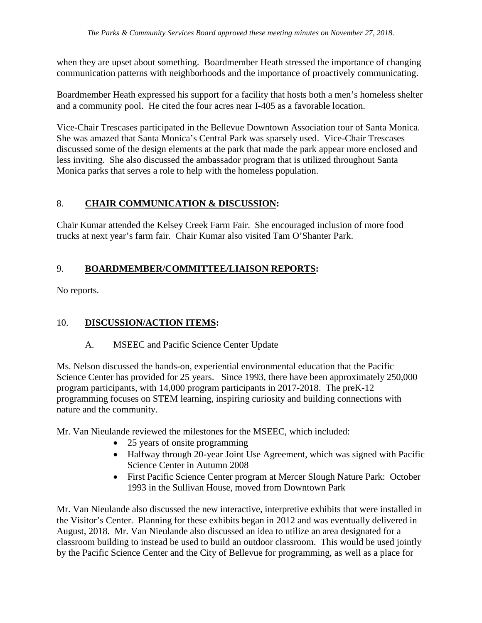when they are upset about something. Boardmember Heath stressed the importance of changing communication patterns with neighborhoods and the importance of proactively communicating.

Boardmember Heath expressed his support for a facility that hosts both a men's homeless shelter and a community pool. He cited the four acres near I-405 as a favorable location.

Vice-Chair Trescases participated in the Bellevue Downtown Association tour of Santa Monica. She was amazed that Santa Monica's Central Park was sparsely used. Vice-Chair Trescases discussed some of the design elements at the park that made the park appear more enclosed and less inviting. She also discussed the ambassador program that is utilized throughout Santa Monica parks that serves a role to help with the homeless population.

## 8. **CHAIR COMMUNICATION & DISCUSSION:**

Chair Kumar attended the Kelsey Creek Farm Fair. She encouraged inclusion of more food trucks at next year's farm fair. Chair Kumar also visited Tam O'Shanter Park.

## 9. **BOARDMEMBER/COMMITTEE/LIAISON REPORTS:**

No reports.

## 10. **DISCUSSION/ACTION ITEMS:**

## A. MSEEC and Pacific Science Center Update

Ms. Nelson discussed the hands-on, experiential environmental education that the Pacific Science Center has provided for 25 years. Since 1993, there have been approximately 250,000 program participants, with 14,000 program participants in 2017-2018. The preK-12 programming focuses on STEM learning, inspiring curiosity and building connections with nature and the community.

Mr. Van Nieulande reviewed the milestones for the MSEEC, which included:

- 25 years of onsite programming
- Halfway through 20-year Joint Use Agreement, which was signed with Pacific Science Center in Autumn 2008
- First Pacific Science Center program at Mercer Slough Nature Park: October 1993 in the Sullivan House, moved from Downtown Park

Mr. Van Nieulande also discussed the new interactive, interpretive exhibits that were installed in the Visitor's Center. Planning for these exhibits began in 2012 and was eventually delivered in August, 2018. Mr. Van Nieulande also discussed an idea to utilize an area designated for a classroom building to instead be used to build an outdoor classroom. This would be used jointly by the Pacific Science Center and the City of Bellevue for programming, as well as a place for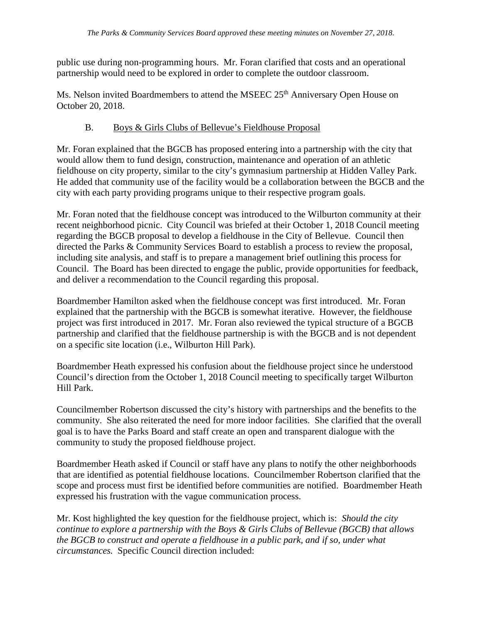public use during non-programming hours. Mr. Foran clarified that costs and an operational partnership would need to be explored in order to complete the outdoor classroom.

Ms. Nelson invited Boardmembers to attend the MSEEC 25<sup>th</sup> Anniversary Open House on October 20, 2018.

## B. Boys & Girls Clubs of Bellevue's Fieldhouse Proposal

Mr. Foran explained that the BGCB has proposed entering into a partnership with the city that would allow them to fund design, construction, maintenance and operation of an athletic fieldhouse on city property, similar to the city's gymnasium partnership at Hidden Valley Park. He added that community use of the facility would be a collaboration between the BGCB and the city with each party providing programs unique to their respective program goals.

Mr. Foran noted that the fieldhouse concept was introduced to the Wilburton community at their recent neighborhood picnic. City Council was briefed at their October 1, 2018 Council meeting regarding the BGCB proposal to develop a fieldhouse in the City of Bellevue. Council then directed the Parks & Community Services Board to establish a process to review the proposal, including site analysis, and staff is to prepare a management brief outlining this process for Council. The Board has been directed to engage the public, provide opportunities for feedback, and deliver a recommendation to the Council regarding this proposal.

Boardmember Hamilton asked when the fieldhouse concept was first introduced. Mr. Foran explained that the partnership with the BGCB is somewhat iterative. However, the fieldhouse project was first introduced in 2017. Mr. Foran also reviewed the typical structure of a BGCB partnership and clarified that the fieldhouse partnership is with the BGCB and is not dependent on a specific site location (i.e., Wilburton Hill Park).

Boardmember Heath expressed his confusion about the fieldhouse project since he understood Council's direction from the October 1, 2018 Council meeting to specifically target Wilburton Hill Park.

Councilmember Robertson discussed the city's history with partnerships and the benefits to the community. She also reiterated the need for more indoor facilities. She clarified that the overall goal is to have the Parks Board and staff create an open and transparent dialogue with the community to study the proposed fieldhouse project.

Boardmember Heath asked if Council or staff have any plans to notify the other neighborhoods that are identified as potential fieldhouse locations. Councilmember Robertson clarified that the scope and process must first be identified before communities are notified. Boardmember Heath expressed his frustration with the vague communication process.

Mr. Kost highlighted the key question for the fieldhouse project, which is: *Should the city continue to explore a partnership with the Boys & Girls Clubs of Bellevue (BGCB) that allows the BGCB to construct and operate a fieldhouse in a public park, and if so, under what circumstances.* Specific Council direction included: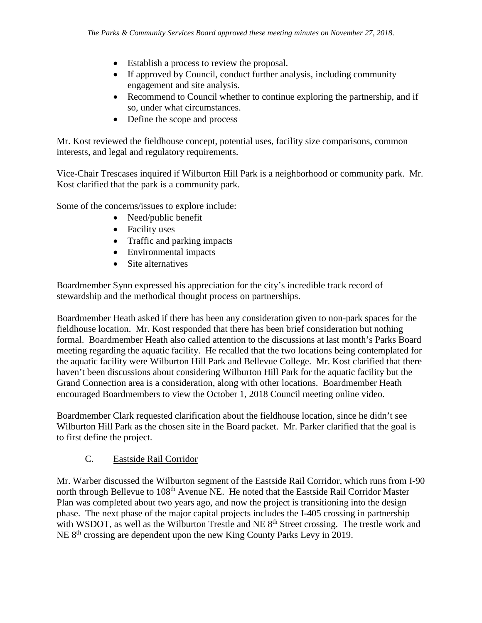- Establish a process to review the proposal.
- If approved by Council, conduct further analysis, including community engagement and site analysis.
- Recommend to Council whether to continue exploring the partnership, and if so, under what circumstances.
- Define the scope and process

Mr. Kost reviewed the fieldhouse concept, potential uses, facility size comparisons, common interests, and legal and regulatory requirements.

Vice-Chair Trescases inquired if Wilburton Hill Park is a neighborhood or community park. Mr. Kost clarified that the park is a community park.

Some of the concerns/issues to explore include:

- Need/public benefit
- Facility uses
- Traffic and parking impacts
- Environmental impacts
- Site alternatives

Boardmember Synn expressed his appreciation for the city's incredible track record of stewardship and the methodical thought process on partnerships.

Boardmember Heath asked if there has been any consideration given to non-park spaces for the fieldhouse location. Mr. Kost responded that there has been brief consideration but nothing formal. Boardmember Heath also called attention to the discussions at last month's Parks Board meeting regarding the aquatic facility. He recalled that the two locations being contemplated for the aquatic facility were Wilburton Hill Park and Bellevue College. Mr. Kost clarified that there haven't been discussions about considering Wilburton Hill Park for the aquatic facility but the Grand Connection area is a consideration, along with other locations. Boardmember Heath encouraged Boardmembers to view the October 1, 2018 Council meeting online video.

Boardmember Clark requested clarification about the fieldhouse location, since he didn't see Wilburton Hill Park as the chosen site in the Board packet. Mr. Parker clarified that the goal is to first define the project.

## C. Eastside Rail Corridor

Mr. Warber discussed the Wilburton segment of the Eastside Rail Corridor, which runs from I-90 north through Bellevue to 108<sup>th</sup> Avenue NE. He noted that the Eastside Rail Corridor Master Plan was completed about two years ago, and now the project is transitioning into the design phase. The next phase of the major capital projects includes the I-405 crossing in partnership with WSDOT, as well as the Wilburton Trestle and NE 8<sup>th</sup> Street crossing. The trestle work and NE 8<sup>th</sup> crossing are dependent upon the new King County Parks Levy in 2019.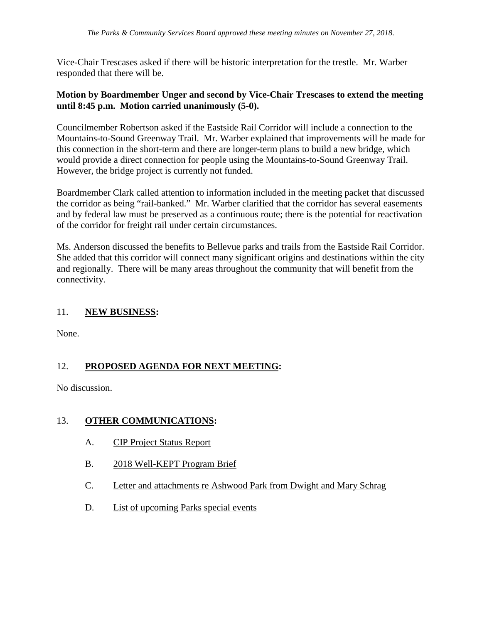Vice-Chair Trescases asked if there will be historic interpretation for the trestle. Mr. Warber responded that there will be.

### **Motion by Boardmember Unger and second by Vice-Chair Trescases to extend the meeting until 8:45 p.m. Motion carried unanimously (5-0).**

Councilmember Robertson asked if the Eastside Rail Corridor will include a connection to the Mountains-to-Sound Greenway Trail. Mr. Warber explained that improvements will be made for this connection in the short-term and there are longer-term plans to build a new bridge, which would provide a direct connection for people using the Mountains-to-Sound Greenway Trail. However, the bridge project is currently not funded.

Boardmember Clark called attention to information included in the meeting packet that discussed the corridor as being "rail-banked." Mr. Warber clarified that the corridor has several easements and by federal law must be preserved as a continuous route; there is the potential for reactivation of the corridor for freight rail under certain circumstances.

Ms. Anderson discussed the benefits to Bellevue parks and trails from the Eastside Rail Corridor. She added that this corridor will connect many significant origins and destinations within the city and regionally. There will be many areas throughout the community that will benefit from the connectivity.

## 11. **NEW BUSINESS:**

None.

## 12. **PROPOSED AGENDA FOR NEXT MEETING:**

No discussion.

## 13. **OTHER COMMUNICATIONS:**

- A. CIP Project Status Report
- B. 2018 Well-KEPT Program Brief
- C. Letter and attachments re Ashwood Park from Dwight and Mary Schrag
- D. List of upcoming Parks special events